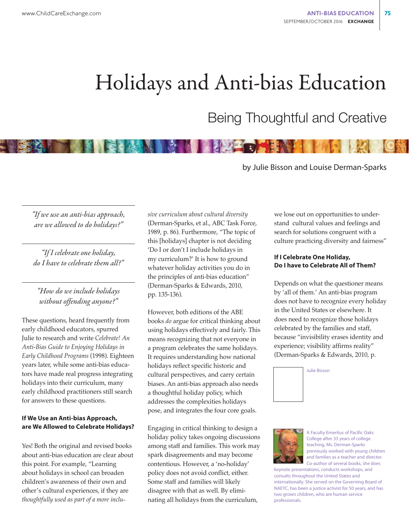# Holidays and Anti-bias Education

# Being Thoughtful and Creative

by Julie Bisson and Louise Derman-Sparks

*"If we use an anti-bias approach, are we allowed to do holidays?"*

*"If I celebrate one holiday, do I have to celebrate them all?"*

## *"How do we include holidays without offending anyone?"*

These questions, heard frequently from early childhood educators, spurred Julie to research and write *Celebrate! An Anti-Bias Guide to Enjoying Holidays in Early Childhood Programs* (1998). Eighteen years later, while some anti-bias educators have made real progress integrating holidays into their curriculum, many early childhood practitioners still search for answers to these questions.

#### **If We Use an Anti-bias Approach, are We Allowed to Celebrate Holidays?**

Yes! Both the original and revised books about anti-bias education are clear about this point. For example, "Learning about holidays in school can broaden children's awareness of their own and other's cultural experiences, if they are *thoughtfully used as part of a more inclu-* *sive curriculum about cultural diversity* (Derman-Sparks, et al., ABC Task Force, 1989, p. 86). Furthermore, "The topic of this [holidays] chapter is not deciding 'Do I or don't I include holidays in my curriculum?' It is how to ground whatever holiday activities you do in the principles of anti-bias education" (Derman-Sparks & Edwards, 2010, pp. 135-136).

However, both editions of the ABE books *do* argue for critical thinking about using holidays effectively and fairly. This means recognizing that not everyone in a program celebrates the same holidays. It requires understanding how national holidays reflect specific historic and cultural perspectives, and carry certain biases. An anti-bias approach also needs a thoughtful holiday policy, which addresses the complexities holidays pose, and integrates the four core goals.

Engaging in critical thinking to design a holiday policy takes ongoing discussions among staff and families. This work may spark disagreements and may become contentious. However, a 'no-holiday' policy does not avoid conflict, either. Some staff and families will likely disagree with that as well. By eliminating all holidays from the curriculum,

we lose out on opportunities to understand cultural values and feelings and search for solutions congruent with a culture practicing diversity and fairness"

#### **If I Celebrate One Holiday, Do I have to Celebrate All of Them?**

Depends on what the questioner means by 'all of them.' An anti-bias program does not have to recognize every holiday in the United States or elsewhere. It does need to recognize those holidays celebrated by the families and staff, because "invisibility erases identity and experience; visibility affirms reality" (Derman-Sparks & Edwards, 2010, p.





A Faculty Emeritus of Pacific Oaks College after 33 years of college teaching, Ms. Derman-Sparks previously worked with young children and families as a teacher and director. Co-author of several books, she does

keynote presentations, conducts workshops, and consults throughout the United States and internationally. She served on the Governing Board of NAEYC, has been a justice activist for 50 years, and has two grown children, who are human service professionals.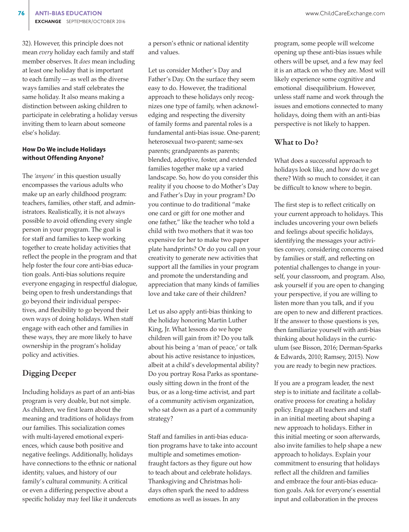32). However, this principle does not mean *every* holiday each family and staff member observes. It *does* mean including at least one holiday that is important to each family — as well as the diverse ways families and staff celebrates the same holiday. It also means making a distinction between asking children to participate in celebrating a holiday versus inviting them to learn about someone else's holiday.

#### **How Do We include Holidays without Offending Anyone?**

The *'anyone'* in this question usually encompasses the various adults who make up an early childhood program: teachers, families, other staff, and administrators. Realistically, it is not always possible to avoid offending every single person in your program. The goal is for staff and families to keep working together to create holiday activities that reflect the people in the program and that help foster the four core anti-bias education goals. Anti-bias solutions require everyone engaging in respectful dialogue, being open to fresh understandings that go beyond their individual perspectives, and flexibility to go beyond their own ways of doing holidays. When staff engage with each other and families in these ways, they are more likely to have ownership in the program's holiday policy and activities.

# Digging Deeper

Including holidays as part of an anti-bias program is very doable, but not simple. As children, we first learn about the meaning and traditions of holidays from our families. This socialization comes with multi-layered emotional experiences, which cause both positive and negative feelings. Additionally, holidays have connections to the ethnic or national identity, values, and history of our family's cultural community. A critical or even a differing perspective about a specific holiday may feel like it undercuts

a person's ethnic or national identity and values.

Let us consider Mother's Day and Father's Day. On the surface they seem easy to do. However, the traditional approach to these holidays only recognizes one type of family, when acknowledging and respecting the diversity of family forms and parental roles is a fundamental anti-bias issue. One-parent; heterosexual two-parent; same-sex parents; grandparents as parents; blended, adoptive, foster, and extended families together make up a varied landscape. So, how do you consider this reality if you choose to do Mother's Day and Father's Day in your program? Do you continue to do traditional "make one card or gift for one mother and one father," like the teacher who told a child with two mothers that it was too expensive for her to make two paper plate handprints? Or do you call on your creativity to generate new activities that support all the families in your program and promote the understanding and appreciation that many kinds of families love and take care of their children?

Let us also apply anti-bias thinking to the holiday honoring Martin Luther King, Jr. What lessons do we hope children will gain from it? Do you talk about his being a 'man of peace,' or talk about his active resistance to injustices, albeit at a child's developmental ability? Do you portray Rosa Parks as spontaneously sitting down in the front of the bus, or as a long-time activist, and part of a community activism organization, who sat down as a part of a community strategy?

Staff and families in anti-bias education programs have to take into account multiple and sometimes emotionfraught factors as they figure out how to teach about and celebrate holidays. Thanksgiving and Christmas holidays often spark the need to address emotions as well as issues. In any

program, some people will welcome opening up these anti-bias issues while others will be upset, and a few may feel it is an attack on who they are. Most will likely experience some cognitive and emotional disequilibrium. However, unless staff name and work through the issues and emotions connected to many holidays, doing them with an anti-bias perspective is not likely to happen.

### What to Do?

What does a successful approach to holidays look like, and how do we get there? With so much to consider, it can be difficult to know where to begin.

The first step is to reflect critically on your current approach to holidays. This includes uncovering your own beliefs and feelings about specific holidays, identifying the messages your activities convey, considering concerns raised by families or staff, and reflecting on potential challenges to change in yourself, your classroom, and program. Also, ask yourself if you are open to changing your perspective, if you are willing to listen more than you talk, and if you are open to new and different practices. If the answer to those questions is yes, then familiarize yourself with anti-bias thinking about holidays in the curriculum (see Bisson, 2016; Derman-Sparks & Edwards, 2010; Ramsey, 2015). Now you are ready to begin new practices.

If you are a program leader, the next step is to initiate and facilitate a collaborative process for creating a holiday policy. Engage all teachers and staff in an initial meeting about shaping a new approach to holidays. Either in this initial meeting or soon afterwards, also invite families to help shape a new approach to holidays. Explain your commitment to ensuring that holidays reflect all the children and families and embrace the four anti-bias education goals. Ask for everyone's essential input and collaboration in the process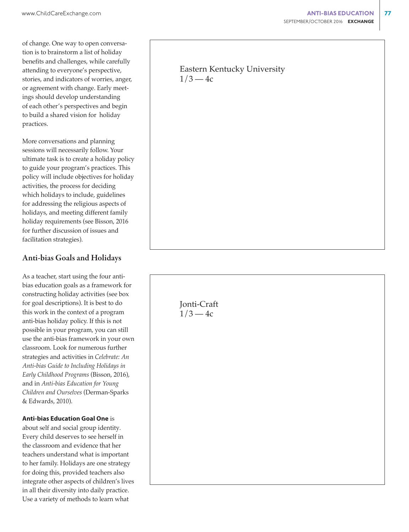practices.

of change. One way to open conversation is to brainstorm a list of holiday benefits and challenges, while carefully attending to everyone's perspective, stories, and indicators of worries, anger, or agreement with change. Early meetings should develop understanding of each other's perspectives and begin to build a shared vision for holiday

More conversations and planning sessions will necessarily follow. Your ultimate task is to create a holiday policy to guide your program's practices. This policy will include objectives for holiday activities, the process for deciding which holidays to include, guidelines for addressing the religious aspects of holidays, and meeting different family holiday requirements (see Bisson, 2016 for further discussion of issues and facilitation strategies).

## Anti-bias Goals and Holidays

As a teacher, start using the four antibias education goals as a framework for constructing holiday activities (see box for goal descriptions). It is best to do this work in the context of a program anti-bias holiday policy. If this is not possible in your program, you can still use the anti-bias framework in your own classroom. Look for numerous further strategies and activities in *Celebrate: An Anti-bias Guide to Including Holidays in Early Childhood Programs* (Bisson, 2016), and in *Anti-bias Education for Young Children and Ourselves* (Derman-Sparks & Edwards, 2010).

#### **Anti-bias Education Goal One** is

about self and social group identity*.* Every child deserves to see herself in the classroom and evidence that her teachers understand what is important to her family. Holidays are one strategy for doing this, provided teachers also integrate other aspects of children's lives in all their diversity into daily practice. Use a variety of methods to learn what

# Eastern Kentucky University  $1/3 - 4c$

Jonti-Craft  $1/3 - 4c$